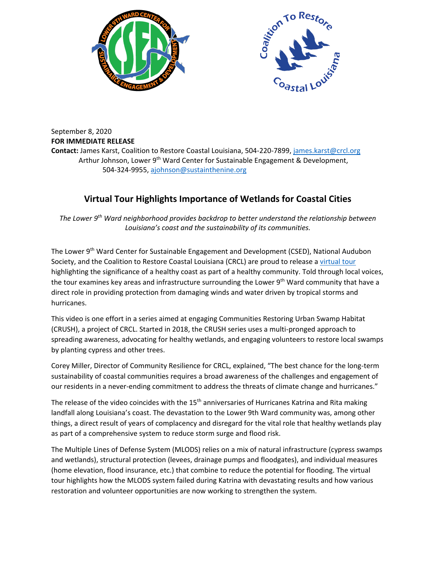



September 8, 2020 **FOR IMMEDIATE RELEASE Contact:** James Karst, Coalition to Restore Coastal Louisiana, 504-220-7899,<james.karst@crcl.org> Arthur Johnson, Lower 9<sup>th</sup> Ward Center for Sustainable Engagement & Development, 504-324-9955[, ajohnson@sustainthenine.org](mailto:ajohnson@sustainthenine.org)

## **Virtual Tour Highlights Importance of Wetlands for Coastal Cities**

*The Lower 9th Ward neighborhood provides backdrop to better understand the relationship between Louisiana's coast and the sustainability of its communities.* 

The Lower 9<sup>th</sup> Ward Center for Sustainable Engagement and Development (CSED), National Audubon Society, and the Coalition to Restore Coastal Louisiana (CRCL) are proud to release a [virtual tour](https://www.facebook.com/sustainthenine/videos/315296412867465) highlighting the significance of a healthy coast as part of a healthy community. Told through local voices, the tour examines key areas and infrastructure surrounding the Lower 9<sup>th</sup> Ward community that have a direct role in providing protection from damaging winds and water driven by tropical storms and hurricanes.

This video is one effort in a series aimed at engaging Communities Restoring Urban Swamp Habitat (CRUSH), a project of CRCL. Started in 2018, the CRUSH series uses a multi-pronged approach to spreading awareness, advocating for healthy wetlands, and engaging volunteers to restore local swamps by planting cypress and other trees.

Corey Miller, Director of Community Resilience for CRCL, explained, "The best chance for the long-term sustainability of coastal communities requires a broad awareness of the challenges and engagement of our residents in a never-ending commitment to address the threats of climate change and hurricanes."

The release of the video coincides with the  $15<sup>th</sup>$  anniversaries of Hurricanes Katrina and Rita making landfall along Louisiana's coast. The devastation to the Lower 9th Ward community was, among other things, a direct result of years of complacency and disregard for the vital role that healthy wetlands play as part of a comprehensive system to reduce storm surge and flood risk.

The Multiple Lines of Defense System (MLODS) relies on a mix of natural infrastructure (cypress swamps and wetlands), structural protection (levees, drainage pumps and floodgates), and individual measures (home elevation, flood insurance, etc.) that combine to reduce the potential for flooding. The virtual tour highlights how the MLODS system failed during Katrina with devastating results and how various restoration and volunteer opportunities are now working to strengthen the system.